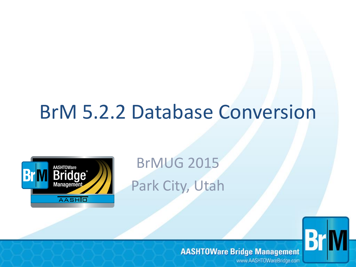# BrM 5.2.2 Database Conversion



BrMUG 2015 Park City, Utah

#### **AASHTOWare Bridge Management**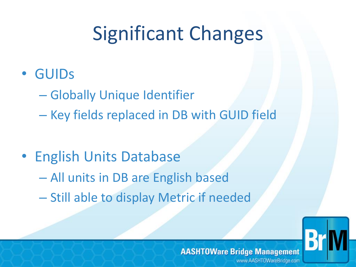# Significant Changes

- GUIDs
	- Globally Unique Identifier
	- Key fields replaced in DB with GUID field
- English Units Database – All units in DB are English based – Still able to display Metric if needed

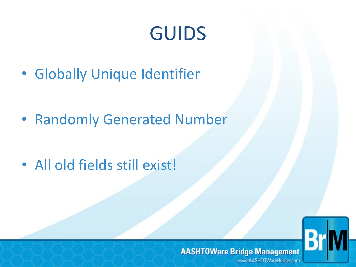# GUIDS

• Globally Unique Identifier

• Randomly Generated Number

• All old fields still exist!



#### **AASHTOWare Bridge Management**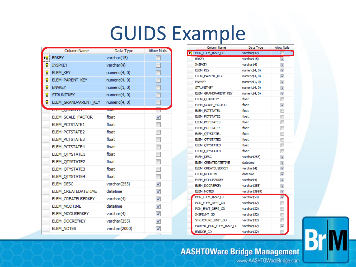### GUIDS Example

|     | <b>Column Name</b>   | Data Type        | <b>Allow Nulls</b>       |
|-----|----------------------|------------------|--------------------------|
| УRТ | <b>BRKEY</b>         | varchar(15)      | П                        |
| Ÿ.  | <b>INSPKEY</b>       | varchar(4)       | ⊓                        |
| 8   | ELEM_KEY             | numeric(4, 0)    | П                        |
| 8   | ELEM PARENT KEY      | numeric(4, 0)    | П                        |
| Ÿ.  | <b>ENVKEY</b>        | numeric(1, 0)    | П                        |
| P.  | <b>STRUNITKEY</b>    | numeric(4, 0)    | П                        |
| P.  | ELEM GRANDPARENT KEY | numeric(4, 0)    | $\Box$                   |
|     | <b>ESSAY QUARTER</b> | <b>HOZEL</b>     | Ţ                        |
|     | ELEM SCALE FACTOR    | float            | $\overline{\mathcal{J}}$ |
|     | ELEM_PCTSTATE1       | float            | $\Box$                   |
|     | ELEM_PCTSTATE2       | float            | $\overline{\phantom{a}}$ |
|     | ELEM_PCTSTATE3       | float            | П                        |
|     | ELEM_PCTSTATE4       | float            | П                        |
|     | ELEM_QTYSTATE1       | float            | П                        |
|     | ELEM OTYSTATE2       | float            | П                        |
|     | ELEM_QTYSTATE3       | float            | П                        |
|     | ELEM OTYSTATE4       | float            | П                        |
|     | ELEM_DESC            | varchar(255)     | √                        |
|     | ELEM CREATEDATETIME  | datetime         | ⊽                        |
|     | ELEM CREATEUSERKEY   | $v$ archar $(4)$ | ⊽                        |
|     | ELEM_MODTIME         | datetime         | ⊽                        |
|     | ELEM_MODUSERKEY      | varchar(4)       | ⊽                        |
|     | ELEM_DOCREFKEY       | varchar(255)     | $\overline{\mathcal{A}}$ |
|     | ELEM_NOTES           | varchar(2000)    | $\overline{\mathcal{A}}$ |
|     |                      |                  |                          |

| Column Name                | Data Type Allow Nulls |                          |
|----------------------------|-----------------------|--------------------------|
| <b>Nº</b> PON ELEM INSP GD | varchar(32)           | П                        |
| <b>BRKEY</b>               | varchar(15)           | ⊽                        |
| <b>INSPKEY</b>             | varchar(4)            | √                        |
| ELEM_KEY                   | numeric(4, 0)         | ⊽                        |
| ELEM PARENT KEY            | numeric(4, 0)         | $\overline{\mathcal{J}}$ |
| <b>ENVKEY</b>              | numeric(1, 0)         | ⊽                        |
| <b>STRUNITKEY</b>          | numeric(4, 0)         | $\overline{\mathbf{v}}$  |
| ELEM GRANDPARENT KEY       | numeric(4, 0)         | $\overline{\mathcal{A}}$ |
| ELEM_QUANTITY              | float                 | $\Box$                   |
| ELEM SCALE FACTOR          | float                 | ⊽                        |
| ELEM PCTSTATE1             | float                 | $\Box$                   |
| ELEM_PCTSTATE2             | float                 | $\overline{\phantom{a}}$ |
| ELEM_PCTSTATE3             | float                 | П                        |
| ELEM_PCTSTATE4             | float                 | $\Box$                   |
| ELEM_QTYSTATE1             | float                 | $\Box$                   |
| ELEM_QTYSTATE2             | float                 | П                        |
| ELEM OTYSTATE3             | float                 | П                        |
| ELEM OTYSTATE4             | float                 | $\Box$                   |
| ELEM DESC                  | varchar(255)          | $\overline{\mathbf{v}}$  |
| ELEM CREATEDATETIME        | datetime              | $\overline{\mathcal{A}}$ |
| ELEM CREATEUSERKEY         | varchar(4)            | ⊽                        |
| ELEM MODTIME               | datetime              | $\overline{\mathbf{v}}$  |
| ELEM_MODUSERKEY            | varchar(4)            | $\overline{\mathbf{v}}$  |
| ELEM_DOCREFKEY             | varchar(255)          | $\overline{\mathsf{v}}$  |
| ELEM_NOTES                 | varchar(3999)         | ⊽                        |
| PON ELEM INSP LB           | varchar(50)           | $\overline{\mathbf{v}}$  |
| PON_ELEM_DEFS_GD           | varchar(32)           | $\Box$                   |
| PON_ENVT_DEFS_GD           | varchar(32)           | $\Box$                   |
| INSPEVNT GD                | varchar(32)           | $\Box$                   |
| STRUCTURE_UNIT_GD          | varchar(32)           | $\Box$                   |
| PARENT PON ELEM INSP GD    | varchar(32)           | $\overline{\mathcal{A}}$ |
| BRIDGE_GD                  | varchar(32)           |                          |

#### **AASHTOWare Bridge Management**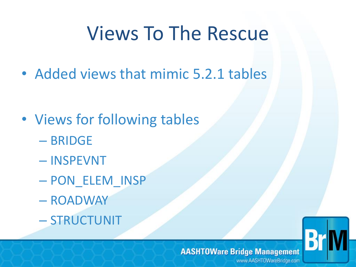# Views To The Rescue

• Added views that mimic 5.2.1 tables

- Views for following tables
	- BRIDGE
	- INSPEVNT
	- PON\_ELEM\_INSP
	- ROADWAY
	- STRUCTUNIT

#### **AASHTOWare Bridge Management**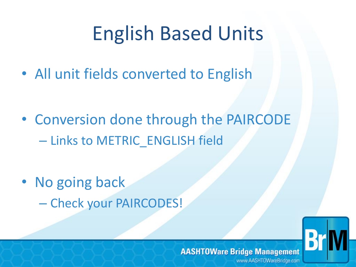# English Based Units

• All unit fields converted to English

- Conversion done through the PAIRCODE – Links to METRIC\_ENGLISH field
- No going back
	- Check your PAIRCODES!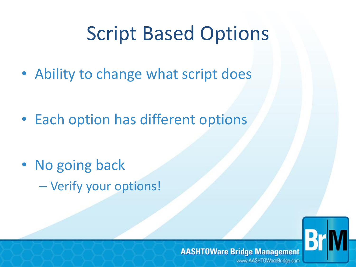# Script Based Options

• Ability to change what script does

• Each option has different options

• No going back – Verify your options!



#### **AASHTOWare Bridge Management**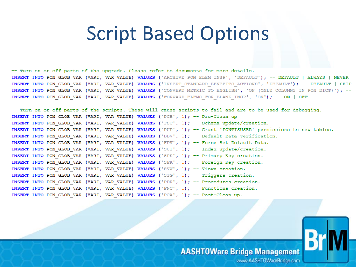#### **Script Based Options**

-- Turn on or off parts of the upgrade. Please refer to documents for more details. INSERT INTO PON GLOB VAR (VARI, VAR VALUE) VALUES ('ARCHIVE PON ELEM INSP', 'DEFAULT'); -- DEFAULT | ALWAYS | NEVER INSERT INTO PON GLOB VAR (VARI, VAR VALUE) VALUES ('INSERT STANDARD BENEFITS ACTIONS', 'DEFAULT'); -- DEFAULT | SKIP INSERT INTO PON GLOB VAR (VARI, VAR VALUE) VALUES ('CONVERT METRIC TO ENGLISH', 'ON (ONLY COLUMNS IN PON DICT)'); --INSERT INTO PON GLOB VAR (VARI, VAR VALUE) VALUES ('FORWARD ELEMS FOR BLANK INSP', 'ON'); -- ON | OFF

-- Turn on or off parts of the scripts. These will cause scripts to fail and are to be used for debugging. INSERT INTO PON GLOB VAR (VARI, VAR VALUE) VALUES ('PCB', 1);  $-$  Pre-Clean up INSERT INTO PON GLOB VAR (VARI, VAR VALUE) VALUES ('TSC', 1); -- Schema update/creation. INSERT INTO PON GLOB VAR (VARI, VAR VALUE) VALUES ('PUP', 1); -- Grant 'PONTISUSER' permissions to new tables. INSERT INTO PON\_GLOB\_VAR (VARI, VAR VALUE) VALUES ('DDV', 1); -- Default Data verification. INSERT INTO PON GLOB VAR (VARI, VAR VALUE) VALUES ('FDV', 1); -- Force Set Default Data. INSERT INTO PON GLOB VAR (VARI, VAR VALUE) VALUES ('SUI', 1); -- Index update/creation. INSERT INTO PON\_GLOB\_VAR (VARI, VAR\_VALUE) VALUES ('SPK', 1); -- Primary Key creation. INSERT INTO PON GLOB VAR (VARI, VAR VALUE) VALUES ('SFK', 1); -- Foreign Key creation. INSERT INTO PON\_GLOB\_VAR (VARI, VAR\_VALUE) VALUES ('SVW', 1); -- Views creation. INSERT INTO PON GLOB VAR (VARI, VAR VALUE) VALUES ('STG', 1); -- Triggers creation. INSERT INTO PON GLOB VAR (VARI, VAR VALUE) VALUES ('PDR', 1); -- Procedures creation. INSERT INTO PON GLOB VAR (VARI, VAR VALUE) VALUES ('FNC', 1); -- Functions creation. INSERT INTO PON GLOB VAR (VARI, VAR VALUE) VALUES ('PCA', 1); -- Post-Clean up.

#### **AASHTOWare Bridge Management**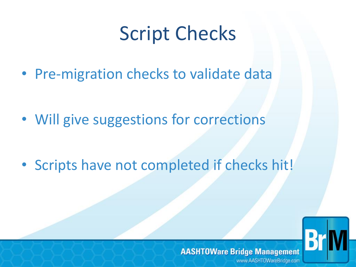# Script Checks

• Pre-migration checks to validate data

• Will give suggestions for corrections

• Scripts have not completed if checks hit!

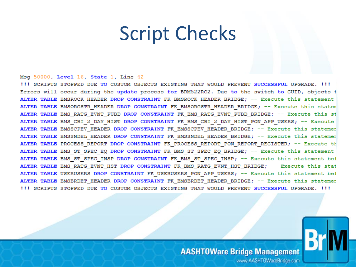### **Script Checks**

#### Msg 50000, Level 16, State 1, Line 42

III SCRIPTS STOPPED DUE TO CUSTOM OBJECTS EXISTING THAT WOULD PREVENT SUCCESSFUL UPGRADE. III Errors will occur during the update process for BRM522RC2. Due to the switch to GUID, objects t ALTER TABLE BMSROCK HEADER DROP CONSTRAINT FK BMSROCK HEADER BRIDGE; -- Execute this statement ALTER TABLE BMSORGSTR HEADER DROP CONSTRAINT FK BMSORGSTR HEADER BRIDGE; -- Execute this statem ALTER TABLE BMS RATG EVNT PUBD DROP CONSTRAINT FK BMS RATG EVNT PUBD BRIDGE; -- Execute this st ALTER TABLE BMS CBI 2 DAY HIST DROP CONSTRAINT FK BMS CBI 2 DAY HIST PON APP USERS; -- Execute ALTER TABLE BMSSCPEV HEADER DROP CONSTRAINT FK BMSSCPEV HEADER BRIDGE; -- Execute this statemer ALTER TABLE BMSSNDEL HEADER DROP CONSTRAINT FK BMSSNDEL HEADER BRIDGE; -- Execute this statemer ALTER TABLE PROCESS REPORT DROP CONSTRAINT FK PROCESS REPORT PON REPORT REGISTER; -- Execute th ALTER TABLE BMS ST SPEC EQ DROP CONSTRAINT FK BMS ST SPEC EQ BRIDGE; -- Execute this statement ALTER TABLE BMS ST SPEC INSP DROP CONSTRAINT FK BMS ST SPEC INSP; -- Execute this statement bef ALTER TABLE BMS RATG EVNT HST DROP CONSTRAINT FK BMS RATG EVNT HST BRIDGE; -- Execute this stat ALTER TABLE USERUSERS DROP CONSTRAINT FK USERUSERS PON APP USERS; -- Execute this statement bef ALTER TABLE BMSBRDET HEADER DROP CONSTRAINT FK BMSBRDET HEADER BRIDGE; -- Execute this statemer !!! SCRIPTS STOPPED DUE TO CUSTOM OBJECTS EXISTING THAT WOULD PREVENT SUCCESSFUL UPGRADE. !!!



**AASHTOWare Bridge Management**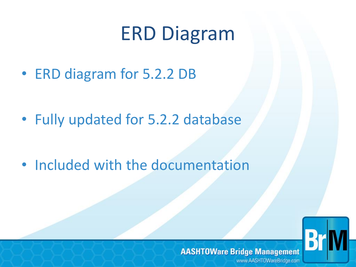# ERD Diagram

• ERD diagram for 5.2.2 DB

• Fully updated for 5.2.2 database

• Included with the documentation

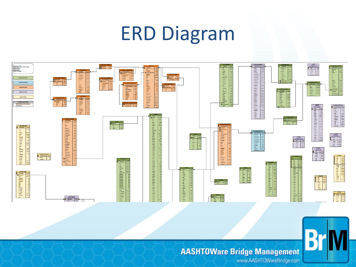# ERD Diagram



#### **AASHTOWare Bridge Management**